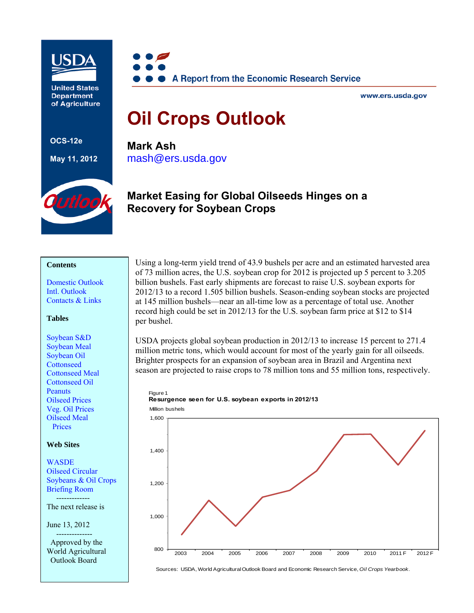

**United States Department** of Agriculture



www.ers.usda.gov

# **Oil Crops Outlook**

**OCS-12e** 

**May 11, 2012**

**Mark Ash**  [mash@ers.usda.gov](mailto: mash@ers.usda.gov) 



# **Market Easing for Global Oilseeds Hinges on a Recovery for Soybean Crops**

#### **Contents**

[Domestic Outlook](#page-1-0)  [Intl. Outlook](#page-4-0)  [Contacts & Links](#page-10-0) 

#### **Tables**

[Soybean S&D](#page-11-0) [Soybean Meal](#page-12-0)  [Soybean Oil](#page-13-0)  **Cottonseed** [Cottonseed Meal](#page-15-0)  [Cottonseed Oil](#page-16-0)  **Peanuts** [Oilseed Prices](#page-18-0)  [Veg. Oil Prices](#page-19-0)  [Oilseed Meal](#page-20-0)  Prices

#### **Web Sites**

**WASDE** [Oilseed Circular](http://www.fas.usda.gov/oilseeds_arc.asp)  [Soybeans & Oil Crops](http://www.ers.usda.gov/briefing/soybeansoilcrops/)  Briefing Room

 ------------- The next release is

June 13, 2012

 -------------- Approved by the World Agricultural Outlook Board

Using a long-term yield trend of 43.9 bushels per acre and an estimated harvested area of 73 million acres, the U.S. soybean crop for 2012 is projected up 5 percent to 3.205 billion bushels. Fast early shipments are forecast to raise U.S. soybean exports for 2012/13 to a record 1.505 billion bushels. Season-ending soybean stocks are projected at 145 million bushels—near an all-time low as a percentage of total use. Another record high could be set in 2012/13 for the U.S. soybean farm price at \$12 to \$14 per bushel.

USDA projects global soybean production in 2012/13 to increase 15 percent to 271.4 million metric tons, which would account for most of the yearly gain for all oilseeds. Brighter prospects for an expansion of soybean area in Brazil and Argentina next season are projected to raise crops to 78 million tons and 55 million tons, respectively.





Sources: USDA, World Agricultural Outlook Board and Economic Research Service, *Oil Crops Yearbook*.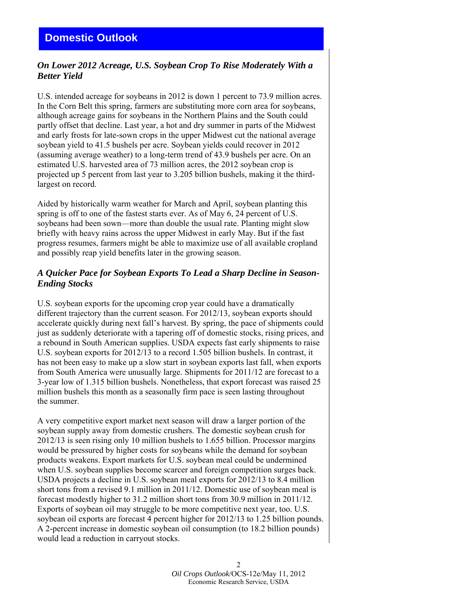## <span id="page-1-0"></span>*On Lower 2012 Acreage, U.S. Soybean Crop To Rise Moderately With a Better Yield*

U.S. intended acreage for soybeans in 2012 is down 1 percent to 73.9 million acres. In the Corn Belt this spring, farmers are substituting more corn area for soybeans, although acreage gains for soybeans in the Northern Plains and the South could partly offset that decline. Last year, a hot and dry summer in parts of the Midwest and early frosts for late-sown crops in the upper Midwest cut the national average soybean yield to 41.5 bushels per acre. Soybean yields could recover in 2012 (assuming average weather) to a long-term trend of 43.9 bushels per acre. On an estimated U.S. harvested area of 73 million acres, the 2012 soybean crop is projected up 5 percent from last year to 3.205 billion bushels, making it the thirdlargest on record.

Aided by historically warm weather for March and April, soybean planting this spring is off to one of the fastest starts ever. As of May 6, 24 percent of U.S. soybeans had been sown—more than double the usual rate. Planting might slow briefly with heavy rains across the upper Midwest in early May. But if the fast progress resumes, farmers might be able to maximize use of all available cropland and possibly reap yield benefits later in the growing season.

## *A Quicker Pace for Soybean Exports To Lead a Sharp Decline in Season-Ending Stocks*

U.S. soybean exports for the upcoming crop year could have a dramatically different trajectory than the current season. For 2012/13, soybean exports should accelerate quickly during next fall's harvest. By spring, the pace of shipments could just as suddenly deteriorate with a tapering off of domestic stocks, rising prices, and a rebound in South American supplies. USDA expects fast early shipments to raise U.S. soybean exports for 2012/13 to a record 1.505 billion bushels. In contrast, it has not been easy to make up a slow start in soybean exports last fall, when exports from South America were unusually large. Shipments for 2011/12 are forecast to a 3-year low of 1.315 billion bushels. Nonetheless, that export forecast was raised 25 million bushels this month as a seasonally firm pace is seen lasting throughout the summer.

A very competitive export market next season will draw a larger portion of the soybean supply away from domestic crushers. The domestic soybean crush for 2012/13 is seen rising only 10 million bushels to 1.655 billion. Processor margins would be pressured by higher costs for soybeans while the demand for soybean products weakens. Export markets for U.S. soybean meal could be undermined when U.S. soybean supplies become scarcer and foreign competition surges back. USDA projects a decline in U.S. soybean meal exports for 2012/13 to 8.4 million short tons from a revised 9.1 million in 2011/12. Domestic use of soybean meal is forecast modestly higher to 31.2 million short tons from 30.9 million in 2011/12. Exports of soybean oil may struggle to be more competitive next year, too. U.S. soybean oil exports are forecast 4 percent higher for 2012/13 to 1.25 billion pounds. A 2-percent increase in domestic soybean oil consumption (to 18.2 billion pounds) would lead a reduction in carryout stocks.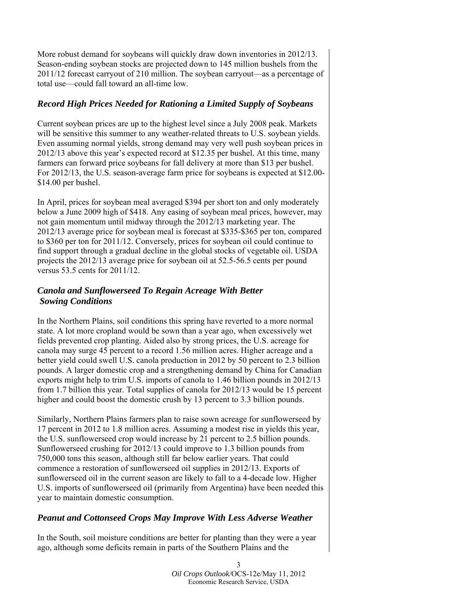More robust demand for soybeans will quickly draw down inventories in 2012/13. Season-ending soybean stocks are projected down to 145 million bushels from the 2011/12 forecast carryout of 210 million. The soybean carryout—as a percentage of total use—could fall toward an all-time low.

## *Record High Prices Needed for Rationing a Limited Supply of Soybeans*

Current soybean prices are up to the highest level since a July 2008 peak. Markets will be sensitive this summer to any weather-related threats to U.S. soybean yields. Even assuming normal yields, strong demand may very well push soybean prices in 2012/13 above this year's expected record at \$12.35 per bushel. At this time, many farmers can forward price soybeans for fall delivery at more than \$13 per bushel. For 2012/13, the U.S. season-average farm price for soybeans is expected at \$12.00- \$14.00 per bushel.

In April, prices for soybean meal averaged \$394 per short ton and only moderately below a June 2009 high of \$418. Any easing of soybean meal prices, however, may not gain momentum until midway through the 2012/13 marketing year. The 2012/13 average price for soybean meal is forecast at \$335-\$365 per ton, compared to \$360 per ton for 2011/12. Conversely, prices for soybean oil could continue to find support through a gradual decline in the global stocks of vegetable oil. USDA projects the 2012/13 average price for soybean oil at 52.5-56.5 cents per pound versus 53.5 cents for 2011/12.

## *Canola and Sunflowerseed To Regain Acreage With Better Sowing Conditions*

In the Northern Plains, soil conditions this spring have reverted to a more normal state. A lot more cropland would be sown than a year ago, when excessively wet fields prevented crop planting. Aided also by strong prices, the U.S. acreage for canola may surge 45 percent to a record 1.56 million acres. Higher acreage and a better yield could swell U.S. canola production in 2012 by 50 percent to 2.3 billion pounds. A larger domestic crop and a strengthening demand by China for Canadian exports might help to trim U.S. imports of canola to 1.46 billion pounds in 2012/13 from 1.7 billion this year. Total supplies of canola for 2012/13 would be 15 percent higher and could boost the domestic crush by 13 percent to 3.3 billion pounds.

Similarly, Northern Plains farmers plan to raise sown acreage for sunflowerseed by 17 percent in 2012 to 1.8 million acres. Assuming a modest rise in yields this year, the U.S. sunflowerseed crop would increase by 21 percent to 2.5 billion pounds. Sunflowerseed crushing for 2012/13 could improve to 1.3 billion pounds from 750,000 tons this season, although still far below earlier years. That could commence a restoration of sunflowerseed oil supplies in 2012/13. Exports of sunflowerseed oil in the current season are likely to fall to a 4-decade low. Higher U.S. imports of sunflowerseed oil (primarily from Argentina) have been needed this year to maintain domestic consumption.

## *Peanut and Cottonseed Crops May Improve With Less Adverse Weather*

In the South, soil moisture conditions are better for planting than they were a year ago, although some deficits remain in parts of the Southern Plains and the

> 3 *Oil Crops Outlook*/OCS-12e/May 11, 2012 Economic Research Service, USDA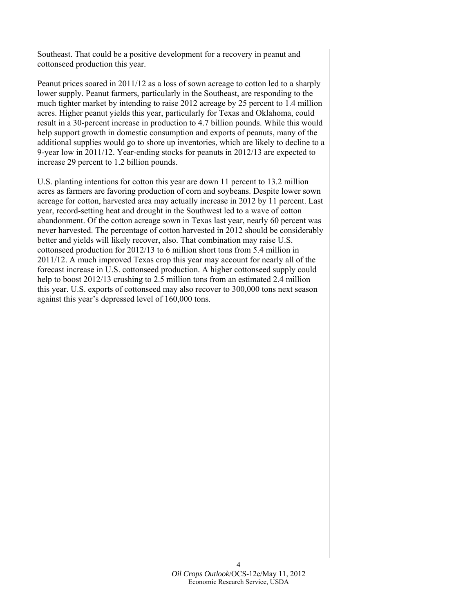Southeast. That could be a positive development for a recovery in peanut and cottonseed production this year.

Peanut prices soared in 2011/12 as a loss of sown acreage to cotton led to a sharply lower supply. Peanut farmers, particularly in the Southeast, are responding to the much tighter market by intending to raise 2012 acreage by 25 percent to 1.4 million acres. Higher peanut yields this year, particularly for Texas and Oklahoma, could result in a 30-percent increase in production to 4.7 billion pounds. While this would help support growth in domestic consumption and exports of peanuts, many of the additional supplies would go to shore up inventories, which are likely to decline to a 9-year low in 2011/12. Year-ending stocks for peanuts in 2012/13 are expected to increase 29 percent to 1.2 billion pounds.

U.S. planting intentions for cotton this year are down 11 percent to 13.2 million acres as farmers are favoring production of corn and soybeans. Despite lower sown acreage for cotton, harvested area may actually increase in 2012 by 11 percent. Last year, record-setting heat and drought in the Southwest led to a wave of cotton abandonment. Of the cotton acreage sown in Texas last year, nearly 60 percent was never harvested. The percentage of cotton harvested in 2012 should be considerably better and yields will likely recover, also. That combination may raise U.S. cottonseed production for 2012/13 to 6 million short tons from 5.4 million in 2011/12. A much improved Texas crop this year may account for nearly all of the forecast increase in U.S. cottonseed production. A higher cottonseed supply could help to boost 2012/13 crushing to 2.5 million tons from an estimated 2.4 million this year. U.S. exports of cottonseed may also recover to 300,000 tons next season against this year's depressed level of 160,000 tons.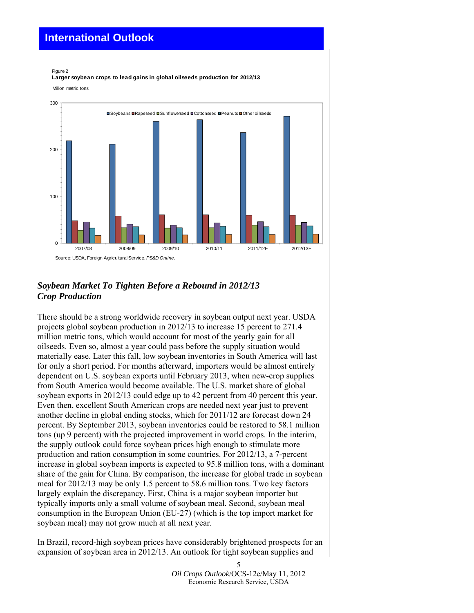# <span id="page-4-0"></span>**International Outlook**

#### Million metric tons Figure 2 **Larger soybean crops to lead gains in global oilseeds production for 2012/13**



## *Soybean Market To Tighten Before a Rebound in 2012/13 Crop Production*

There should be a strong worldwide recovery in soybean output next year. USDA projects global soybean production in 2012/13 to increase 15 percent to 271.4 million metric tons, which would account for most of the yearly gain for all oilseeds. Even so, almost a year could pass before the supply situation would materially ease. Later this fall, low soybean inventories in South America will last for only a short period. For months afterward, importers would be almost entirely dependent on U.S. soybean exports until February 2013, when new-crop supplies from South America would become available. The U.S. market share of global soybean exports in 2012/13 could edge up to 42 percent from 40 percent this year. Even then, excellent South American crops are needed next year just to prevent another decline in global ending stocks, which for 2011/12 are forecast down 24 percent. By September 2013, soybean inventories could be restored to 58.1 million tons (up 9 percent) with the projected improvement in world crops. In the interim, the supply outlook could force soybean prices high enough to stimulate more production and ration consumption in some countries. For 2012/13, a 7-percent increase in global soybean imports is expected to 95.8 million tons, with a dominant share of the gain for China. By comparison, the increase for global trade in soybean meal for 2012/13 may be only 1.5 percent to 58.6 million tons. Two key factors largely explain the discrepancy. First, China is a major soybean importer but typically imports only a small volume of soybean meal. Second, soybean meal consumption in the European Union (EU-27) (which is the top import market for soybean meal) may not grow much at all next year.

In Brazil, record-high soybean prices have considerably brightened prospects for an expansion of soybean area in 2012/13. An outlook for tight soybean supplies and

> *Oil Crops Outlook*/OCS-12e/May 11, 2012 Economic Research Service, USDA

5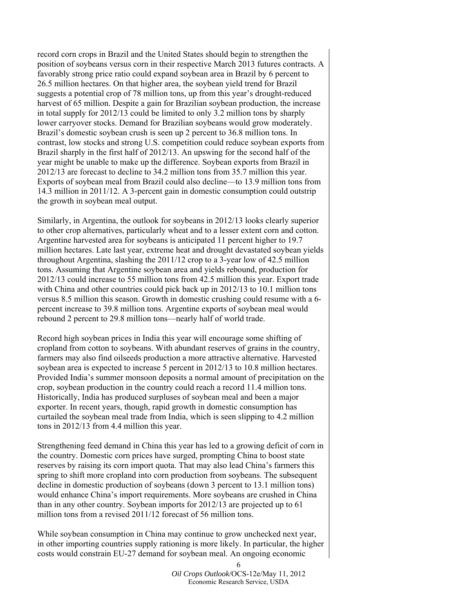record corn crops in Brazil and the United States should begin to strengthen the position of soybeans versus corn in their respective March 2013 futures contracts. A favorably strong price ratio could expand soybean area in Brazil by 6 percent to 26.5 million hectares. On that higher area, the soybean yield trend for Brazil suggests a potential crop of 78 million tons, up from this year's drought-reduced harvest of 65 million. Despite a gain for Brazilian soybean production, the increase in total supply for 2012/13 could be limited to only 3.2 million tons by sharply lower carryover stocks. Demand for Brazilian soybeans would grow moderately. Brazil's domestic soybean crush is seen up 2 percent to 36.8 million tons. In contrast, low stocks and strong U.S. competition could reduce soybean exports from Brazil sharply in the first half of 2012/13. An upswing for the second half of the year might be unable to make up the difference. Soybean exports from Brazil in 2012/13 are forecast to decline to 34.2 million tons from 35.7 million this year. Exports of soybean meal from Brazil could also decline—to 13.9 million tons from 14.3 million in 2011/12. A 3-percent gain in domestic consumption could outstrip the growth in soybean meal output.

Similarly, in Argentina, the outlook for soybeans in 2012/13 looks clearly superior to other crop alternatives, particularly wheat and to a lesser extent corn and cotton. Argentine harvested area for soybeans is anticipated 11 percent higher to 19.7 million hectares. Late last year, extreme heat and drought devastated soybean yields throughout Argentina, slashing the 2011/12 crop to a 3-year low of 42.5 million tons. Assuming that Argentine soybean area and yields rebound, production for 2012/13 could increase to 55 million tons from 42.5 million this year. Export trade with China and other countries could pick back up in 2012/13 to 10.1 million tons versus 8.5 million this season. Growth in domestic crushing could resume with a 6 percent increase to 39.8 million tons. Argentine exports of soybean meal would rebound 2 percent to 29.8 million tons—nearly half of world trade.

Record high soybean prices in India this year will encourage some shifting of cropland from cotton to soybeans. With abundant reserves of grains in the country, farmers may also find oilseeds production a more attractive alternative. Harvested soybean area is expected to increase 5 percent in 2012/13 to 10.8 million hectares. Provided India's summer monsoon deposits a normal amount of precipitation on the crop, soybean production in the country could reach a record 11.4 million tons. Historically, India has produced surpluses of soybean meal and been a major exporter. In recent years, though, rapid growth in domestic consumption has curtailed the soybean meal trade from India, which is seen slipping to 4.2 million tons in 2012/13 from 4.4 million this year.

Strengthening feed demand in China this year has led to a growing deficit of corn in the country. Domestic corn prices have surged, prompting China to boost state reserves by raising its corn import quota. That may also lead China's farmers this spring to shift more cropland into corn production from soybeans. The subsequent decline in domestic production of soybeans (down 3 percent to 13.1 million tons) would enhance China's import requirements. More soybeans are crushed in China than in any other country. Soybean imports for 2012/13 are projected up to 61 million tons from a revised 2011/12 forecast of 56 million tons.

While soybean consumption in China may continue to grow unchecked next year, in other importing countries supply rationing is more likely. In particular, the higher costs would constrain EU-27 demand for soybean meal. An ongoing economic

> *Oil Crops Outlook*/OCS-12e/May 11, 2012 Economic Research Service, USDA

6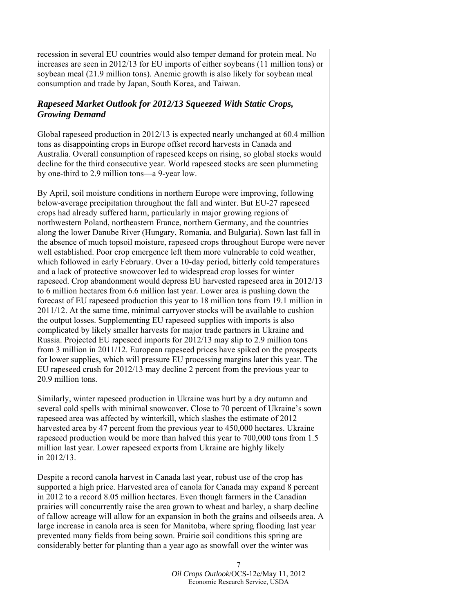recession in several EU countries would also temper demand for protein meal. No increases are seen in 2012/13 for EU imports of either soybeans (11 million tons) or soybean meal (21.9 million tons). Anemic growth is also likely for soybean meal consumption and trade by Japan, South Korea, and Taiwan.

## *Rapeseed Market Outlook for 2012/13 Squeezed With Static Crops, Growing Demand*

Global rapeseed production in 2012/13 is expected nearly unchanged at 60.4 million tons as disappointing crops in Europe offset record harvests in Canada and Australia. Overall consumption of rapeseed keeps on rising, so global stocks would decline for the third consecutive year. World rapeseed stocks are seen plummeting by one-third to 2.9 million tons—a 9-year low.

By April, soil moisture conditions in northern Europe were improving, following below-average precipitation throughout the fall and winter. But EU-27 rapeseed crops had already suffered harm, particularly in major growing regions of northwestern Poland, northeastern France, northern Germany, and the countries along the lower Danube River (Hungary, Romania, and Bulgaria). Sown last fall in the absence of much topsoil moisture, rapeseed crops throughout Europe were never well established. Poor crop emergence left them more vulnerable to cold weather, which followed in early February. Over a 10-day period, bitterly cold temperatures and a lack of protective snowcover led to widespread crop losses for winter rapeseed. Crop abandonment would depress EU harvested rapeseed area in 2012/13 to 6 million hectares from 6.6 million last year. Lower area is pushing down the forecast of EU rapeseed production this year to 18 million tons from 19.1 million in 2011/12. At the same time, minimal carryover stocks will be available to cushion the output losses. Supplementing EU rapeseed supplies with imports is also complicated by likely smaller harvests for major trade partners in Ukraine and Russia. Projected EU rapeseed imports for 2012/13 may slip to 2.9 million tons from 3 million in 2011/12. European rapeseed prices have spiked on the prospects for lower supplies, which will pressure EU processing margins later this year. The EU rapeseed crush for 2012/13 may decline 2 percent from the previous year to 20.9 million tons.

Similarly, winter rapeseed production in Ukraine was hurt by a dry autumn and several cold spells with minimal snowcover. Close to 70 percent of Ukraine's sown rapeseed area was affected by winterkill, which slashes the estimate of 2012 harvested area by 47 percent from the previous year to 450,000 hectares. Ukraine rapeseed production would be more than halved this year to 700,000 tons from 1.5 million last year. Lower rapeseed exports from Ukraine are highly likely in 2012/13.

Despite a record canola harvest in Canada last year, robust use of the crop has supported a high price. Harvested area of canola for Canada may expand 8 percent in 2012 to a record 8.05 million hectares. Even though farmers in the Canadian prairies will concurrently raise the area grown to wheat and barley, a sharp decline of fallow acreage will allow for an expansion in both the grains and oilseeds area. A large increase in canola area is seen for Manitoba, where spring flooding last year prevented many fields from being sown. Prairie soil conditions this spring are considerably better for planting than a year ago as snowfall over the winter was

> 7 *Oil Crops Outlook*/OCS-12e/May 11, 2012 Economic Research Service, USDA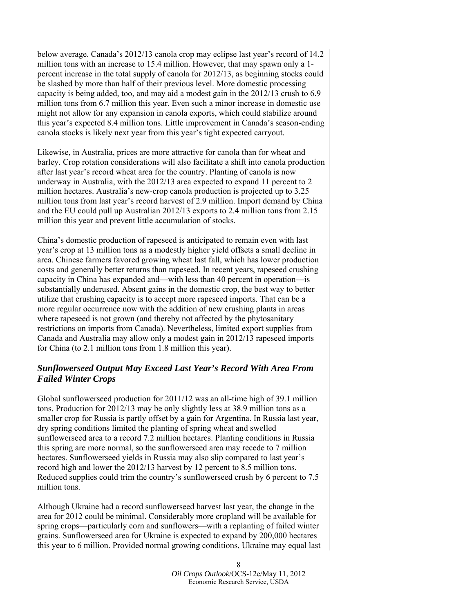below average. Canada's 2012/13 canola crop may eclipse last year's record of 14.2 million tons with an increase to 15.4 million. However, that may spawn only a 1 percent increase in the total supply of canola for 2012/13, as beginning stocks could be slashed by more than half of their previous level. More domestic processing capacity is being added, too, and may aid a modest gain in the 2012/13 crush to 6.9 million tons from 6.7 million this year. Even such a minor increase in domestic use might not allow for any expansion in canola exports, which could stabilize around this year's expected 8.4 million tons. Little improvement in Canada's season-ending canola stocks is likely next year from this year's tight expected carryout.

Likewise, in Australia, prices are more attractive for canola than for wheat and barley. Crop rotation considerations will also facilitate a shift into canola production after last year's record wheat area for the country. Planting of canola is now underway in Australia, with the 2012/13 area expected to expand 11 percent to 2 million hectares. Australia's new-crop canola production is projected up to 3.25 million tons from last year's record harvest of 2.9 million. Import demand by China and the EU could pull up Australian 2012/13 exports to 2.4 million tons from 2.15 million this year and prevent little accumulation of stocks.

China's domestic production of rapeseed is anticipated to remain even with last year's crop at 13 million tons as a modestly higher yield offsets a small decline in area. Chinese farmers favored growing wheat last fall, which has lower production costs and generally better returns than rapeseed. In recent years, rapeseed crushing capacity in China has expanded and—with less than 40 percent in operation—is substantially underused. Absent gains in the domestic crop, the best way to better utilize that crushing capacity is to accept more rapeseed imports. That can be a more regular occurrence now with the addition of new crushing plants in areas where rapeseed is not grown (and thereby not affected by the phytosanitary restrictions on imports from Canada). Nevertheless, limited export supplies from Canada and Australia may allow only a modest gain in 2012/13 rapeseed imports for China (to 2.1 million tons from 1.8 million this year).

## *Sunflowerseed Output May Exceed Last Year's Record With Area From Failed Winter Crops*

Global sunflowerseed production for 2011/12 was an all-time high of 39.1 million tons. Production for 2012/13 may be only slightly less at 38.9 million tons as a smaller crop for Russia is partly offset by a gain for Argentina. In Russia last year, dry spring conditions limited the planting of spring wheat and swelled sunflowerseed area to a record 7.2 million hectares. Planting conditions in Russia this spring are more normal, so the sunflowerseed area may recede to 7 million hectares. Sunflowerseed yields in Russia may also slip compared to last year's record high and lower the 2012/13 harvest by 12 percent to 8.5 million tons. Reduced supplies could trim the country's sunflowerseed crush by 6 percent to 7.5 million tons.

Although Ukraine had a record sunflowerseed harvest last year, the change in the area for 2012 could be minimal. Considerably more cropland will be available for spring crops—particularly corn and sunflowers—with a replanting of failed winter grains. Sunflowerseed area for Ukraine is expected to expand by 200,000 hectares this year to 6 million. Provided normal growing conditions, Ukraine may equal last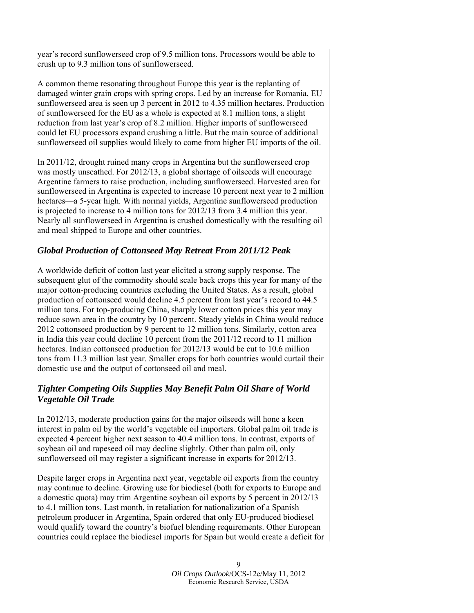year's record sunflowerseed crop of 9.5 million tons. Processors would be able to crush up to 9.3 million tons of sunflowerseed.

A common theme resonating throughout Europe this year is the replanting of damaged winter grain crops with spring crops. Led by an increase for Romania, EU sunflowerseed area is seen up 3 percent in 2012 to 4.35 million hectares. Production of sunflowerseed for the EU as a whole is expected at 8.1 million tons, a slight reduction from last year's crop of 8.2 million. Higher imports of sunflowerseed could let EU processors expand crushing a little. But the main source of additional sunflowerseed oil supplies would likely to come from higher EU imports of the oil.

In 2011/12, drought ruined many crops in Argentina but the sunflowerseed crop was mostly unscathed. For 2012/13, a global shortage of oilseeds will encourage Argentine farmers to raise production, including sunflowerseed. Harvested area for sunflowerseed in Argentina is expected to increase 10 percent next year to 2 million hectares—a 5-year high. With normal yields, Argentine sunflowerseed production is projected to increase to 4 million tons for 2012/13 from 3.4 million this year. Nearly all sunflowerseed in Argentina is crushed domestically with the resulting oil and meal shipped to Europe and other countries.

## *Global Production of Cottonseed May Retreat From 2011/12 Peak*

A worldwide deficit of cotton last year elicited a strong supply response. The subsequent glut of the commodity should scale back crops this year for many of the major cotton-producing countries excluding the United States. As a result, global production of cottonseed would decline 4.5 percent from last year's record to 44.5 million tons. For top-producing China, sharply lower cotton prices this year may reduce sown area in the country by 10 percent. Steady yields in China would reduce 2012 cottonseed production by 9 percent to 12 million tons. Similarly, cotton area in India this year could decline 10 percent from the 2011/12 record to 11 million hectares. Indian cottonseed production for 2012/13 would be cut to 10.6 million tons from 11.3 million last year. Smaller crops for both countries would curtail their domestic use and the output of cottonseed oil and meal.

## *Tighter Competing Oils Supplies May Benefit Palm Oil Share of World Vegetable Oil Trade*

In 2012/13, moderate production gains for the major oilseeds will hone a keen interest in palm oil by the world's vegetable oil importers. Global palm oil trade is expected 4 percent higher next season to 40.4 million tons. In contrast, exports of soybean oil and rapeseed oil may decline slightly. Other than palm oil, only sunflowerseed oil may register a significant increase in exports for 2012/13.

Despite larger crops in Argentina next year, vegetable oil exports from the country may continue to decline. Growing use for biodiesel (both for exports to Europe and a domestic quota) may trim Argentine soybean oil exports by 5 percent in 2012/13 to 4.1 million tons. Last month, in retaliation for nationalization of a Spanish petroleum producer in Argentina, Spain ordered that only EU-produced biodiesel would qualify toward the country's biofuel blending requirements. Other European countries could replace the biodiesel imports for Spain but would create a deficit for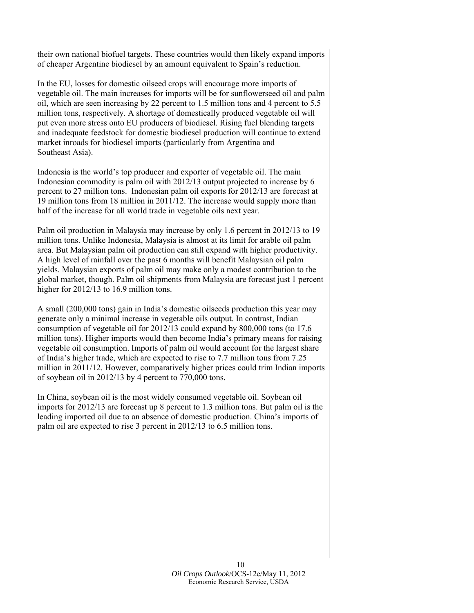their own national biofuel targets. These countries would then likely expand imports of cheaper Argentine biodiesel by an amount equivalent to Spain's reduction.

In the EU, losses for domestic oilseed crops will encourage more imports of vegetable oil. The main increases for imports will be for sunflowerseed oil and palm oil, which are seen increasing by 22 percent to 1.5 million tons and 4 percent to 5.5 million tons, respectively. A shortage of domestically produced vegetable oil will put even more stress onto EU producers of biodiesel. Rising fuel blending targets and inadequate feedstock for domestic biodiesel production will continue to extend market inroads for biodiesel imports (particularly from Argentina and Southeast Asia).

Indonesia is the world's top producer and exporter of vegetable oil. The main Indonesian commodity is palm oil with 2012/13 output projected to increase by 6 percent to 27 million tons. Indonesian palm oil exports for 2012/13 are forecast at 19 million tons from 18 million in 2011/12. The increase would supply more than half of the increase for all world trade in vegetable oils next year.

Palm oil production in Malaysia may increase by only 1.6 percent in 2012/13 to 19 million tons. Unlike Indonesia, Malaysia is almost at its limit for arable oil palm area. But Malaysian palm oil production can still expand with higher productivity. A high level of rainfall over the past 6 months will benefit Malaysian oil palm yields. Malaysian exports of palm oil may make only a modest contribution to the global market, though. Palm oil shipments from Malaysia are forecast just 1 percent higher for 2012/13 to 16.9 million tons.

A small (200,000 tons) gain in India's domestic oilseeds production this year may generate only a minimal increase in vegetable oils output. In contrast, Indian consumption of vegetable oil for 2012/13 could expand by 800,000 tons (to 17.6 million tons). Higher imports would then become India's primary means for raising vegetable oil consumption. Imports of palm oil would account for the largest share of India's higher trade, which are expected to rise to 7.7 million tons from 7.25 million in 2011/12. However, comparatively higher prices could trim Indian imports of soybean oil in 2012/13 by 4 percent to 770,000 tons.

In China, soybean oil is the most widely consumed vegetable oil. Soybean oil imports for 2012/13 are forecast up 8 percent to 1.3 million tons. But palm oil is the leading imported oil due to an absence of domestic production. China's imports of palm oil are expected to rise 3 percent in 2012/13 to 6.5 million tons.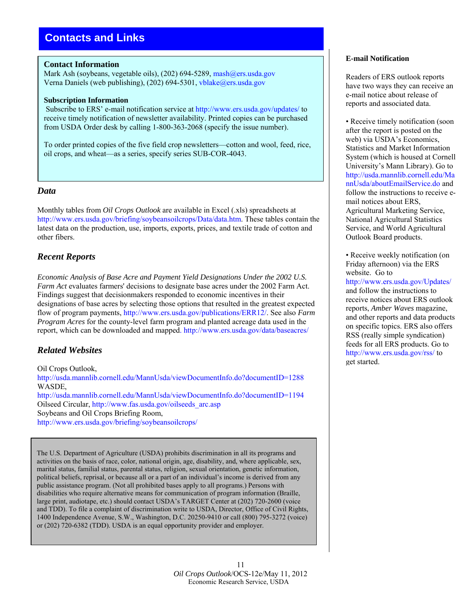## <span id="page-10-0"></span>**Contacts and Links**

#### **Contact Information**

Mark Ash (soybeans, vegetable oils), (202) 694-5289, [mash@ers.usda.gov](mailto: mash@ers.usda.gov) Verna Daniels (web publishing), (202) 694-5301, [vblake@ers.usda.gov](mailto: vblake@ers.usda.gov)

#### **Subscription Information**

 Subscribe to ERS' e-mail notification service at [http://www.ers.usda.gov/updates/](http://www.ers.usda.gov/Updates/) to receive timely notification of newsletter availability. Printed copies can be purchased from USDA Order desk by calling 1-800-363-2068 (specify the issue number).

To order printed copies of the five field crop newsletters—cotton and wool, feed, rice, oil crops, and wheat—as a series, specify series SUB-COR-4043.

#### *Data*

Monthly tables from *Oil Crops Outlook* are available in Excel (.xls) spreadsheets at [http://www.ers.usda.gov/briefing/soybeansoilcrops/Data/data.htm.](http://www.ers.usda.gov/briefing/soybeansoilcrops/Data/data.htm) These tables contain the latest data on the production, use, imports, exports, prices, and textile trade of cotton and other fibers.

## *Recent Reports*

*Economic Analysis of Base Acre and Payment Yield Designations Under the 2002 U.S. Farm Act* evaluates farmers' decisions to designate base acres under the 2002 Farm Act. Findings suggest that decisionmakers responded to economic incentives in their designations of base acres by selecting those options that resulted in the greatest expected flow of program payments, <http://www.ers.usda.gov/publications/ERR12/>. See also *Farm Program Acres* for the county-level farm program and planted acreage data used in the report, which can be downloaded and mapped. <http://www.ers.usda.gov/data/baseacres/>

## *Related Websites*

Oil Crops Outlook, <http://usda.mannlib.cornell.edu/MannUsda/viewDocumentInfo.do?documentID=1288> WASDE, <http://usda.mannlib.cornell.edu/MannUsda/viewDocumentInfo.do?documentID=1194> Oilseed Circular, [http://www.fas.usda.gov/oilseeds\\_arc.asp](http://www.fas.usda.gov/oilseeds_arc.asp) Soybeans and Oil Crops Briefing Room, <http://www.ers.usda.gov/briefing/soybeansoilcrops/>

The U.S. Department of Agriculture (USDA) prohibits discrimination in all its programs and activities on the basis of race, color, national origin, age, disability, and, where applicable, sex, marital status, familial status, parental status, religion, sexual orientation, genetic information, political beliefs, reprisal, or because all or a part of an individual's income is derived from any public assistance program. (Not all prohibited bases apply to all programs.) Persons with disabilities who require alternative means for communication of program information (Braille, large print, audiotape, etc.) should contact USDA's TARGET Center at (202) 720-2600 (voice and TDD). To file a complaint of discrimination write to USDA, Director, Office of Civil Rights, 1400 Independence Avenue, S.W., Washington, D.C. 20250-9410 or call (800) 795-3272 (voice) or (202) 720-6382 (TDD). USDA is an equal opportunity provider and employer.

#### **E-mail Notification**

Readers of ERS outlook reports have two ways they can receive an e-mail notice about release of reports and associated data.

• Receive timely notification (soon after the report is posted on the web) via USDA's Economics, Statistics and Market Information System (which is housed at Cornell University's Mann Library). Go to [http://usda.mannlib.cornell.edu/Ma](http://usda.mannlib.cornell.edu/MannUsda/aboutEmailService.do) nnUsda/aboutEmailService.do and follow the instructions to receive email notices about ERS, Agricultural Marketing Service, National Agricultural Statistics Service, and World Agricultural Outlook Board products.

• Receive weekly notification (on Friday afternoon) via the ERS website. Go to

<http://www.ers.usda.gov/Updates/> and follow the instructions to receive notices about ERS outlook reports, *Amber Waves* magazine, and other reports and data products on specific topics. ERS also offers RSS (really simple syndication) feeds for all ERS products. Go to [http://www.ers.usda.gov/rss/ t](http://www.ers.usda.gov/rss/)o get started.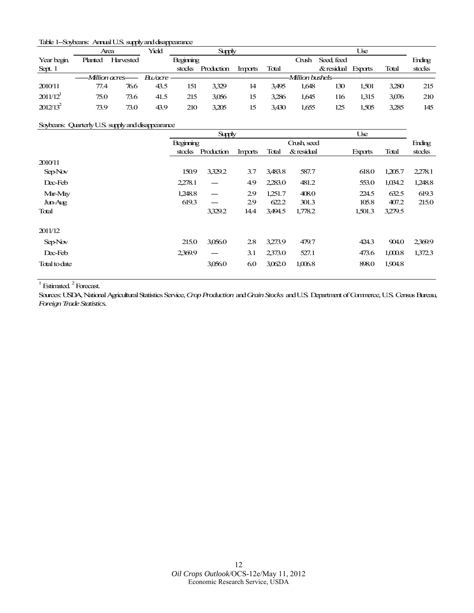#### <span id="page-11-0"></span>Table 1--Soybeans: Annual U.S. supply and disappearance

|                        | Area                      |           | Yield |                  | <b>Supply</b> |         |       |       |                                      | Use   |       |        |
|------------------------|---------------------------|-----------|-------|------------------|---------------|---------|-------|-------|--------------------------------------|-------|-------|--------|
| Year begin.            | Planted                   | Harvested |       | <b>Beginning</b> |               |         |       | Crush | Seed feed                            |       |       | Ending |
| Sept. 1                |                           |           |       | stocks           | Production    | Imports | Total |       | & residual Exports                   |       | Total | stocks |
|                        | ------Million acres------ |           |       |                  |               |         |       |       | -Million bushels-------------------- |       |       |        |
| 2010/11                | 77.4                      | 76.6      | 43.5  | 151              | 3.329         | 14      | 3.495 | 1.648 | 130                                  | 1.501 | 3.280 | 215    |
| $2011/12$ <sup>1</sup> | 75.0                      | 73.6      | 41.5  | 215              | 3,056         | 15      | 3.286 | 1.645 | 116                                  | 1.315 | 3,076 | 210    |
| $2012/13^2$            | 73.9                      | 73.0      | 43.9  | 210              | 3.205         | 15      | 3.430 | 1.655 | 125                                  | 1.505 | 3.285 | 145    |

#### Soybeans: Quarterly U.S. supply and disappearance

|                |           | <b>Supply</b> |         |         |             | Use                     |                 |
|----------------|-----------|---------------|---------|---------|-------------|-------------------------|-----------------|
|                | Beginning |               |         |         | Crush, seed |                         | Ending          |
|                | stocks    | Production    | Imports | Total   | & residual  | Total<br><b>Exports</b> | stocks          |
| 2010/11        |           |               |         |         |             |                         |                 |
| Sep-Nov        | 150.9     | 3,329.2       | 3.7     | 3,483.8 | 587.7       | 618.0<br>1,205.7        | 2,278.1         |
| Dec-Feb        | 2,278.1   | ---           | 4.9     | 2,283.0 | 481.2       | 1,034.2<br>553.0        | 1,248.8         |
| Mar-May        | 1,248.8   | ---           | 29      | 1.251.7 | 408.0       | 632.5<br>224.5          | 619.3           |
| <b>Jun-Aug</b> | 619.3     |               | 29      | 622.2   | 301.3       | 105.8                   | 407.2<br>215.0  |
| Total          |           | 3,329.2       | 14.4    | 3,494.5 | 1,778.2     | 1,501.3<br>3,279.5      |                 |
| 2011/12        |           |               |         |         |             |                         |                 |
| Sep-Nov        | 215.0     | 3,056.0       | 2.8     | 3.273.9 | 479.7       | 424.3                   | 904.0<br>2369.9 |
| Dec-Feb        | 2369.9    | ---           | 3.1     | 2,373.0 | 527.1       | 1,000.8<br>473.6        | 1,372.3         |
| Total to date  |           | 3,056.0       | 6.0     | 3,062.0 | 1,006.8     | 898.0<br>1,904.8        |                 |

 $1$  Estimated.<sup>2</sup> Forecast.

Sources: USDA, National Agricultural Statistics Service, *Crop Production* and *Grain Stocks* and U.S. Department of Commerce, U.S. Census Bureau, *Foreign Trade Statistics.*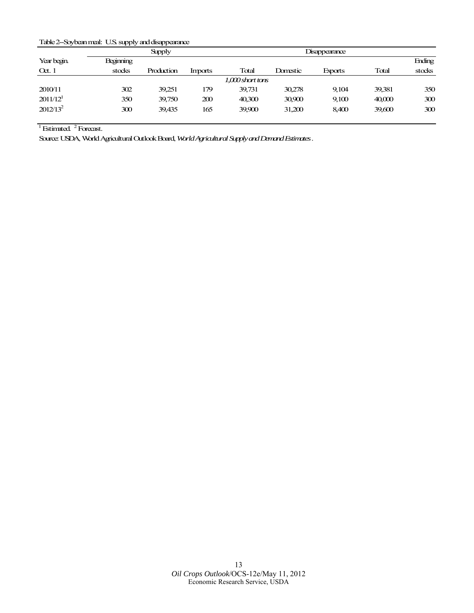#### <span id="page-12-0"></span>Table 2--Soybean meal: U.S. supply and disappearance

|                        |           | <b>Supply</b> |         | Disappearance      |          |         |        |        |  |
|------------------------|-----------|---------------|---------|--------------------|----------|---------|--------|--------|--|
| Year begin.            | Beginning |               |         |                    |          |         |        | Ending |  |
| $\alpha$ . 1           | stocks    | Production    | Imports | Total              | Domestic | Exports | Total  | stocks |  |
|                        |           |               |         | $1,000$ short tons |          |         |        |        |  |
| 2010/11                | 302       | 39,251        | 179     | 39,731             | 30,278   | 9,104   | 39,381 | 350    |  |
| $2011/12$ <sup>1</sup> | 350       | 39,750        | 200     | 40,300             | 30,900   | 9,100   | 40,000 | 300    |  |
| $2012/13^2$            | 300       | 39,435        | 165     | 39,900             | 31,200   | 8,400   | 39,600 | 300    |  |

 $1$  Estimated.  $2$  Forecast.

Source: USDA, World Agricultural Outlook Board, *World Agricultural Supply and Demand Estimates*.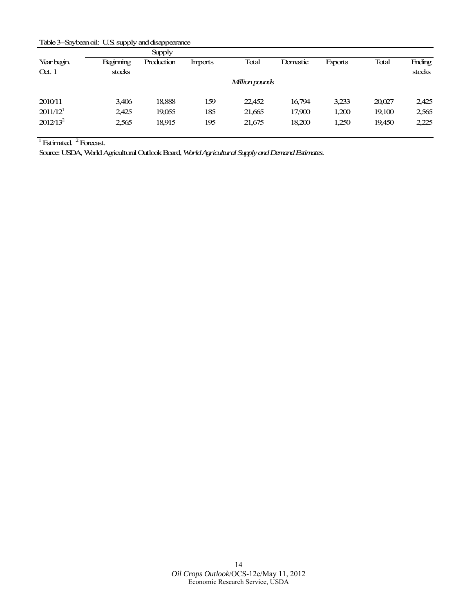<span id="page-13-0"></span>Table 3--Soybean oil: U.S. supply and disappearance

|                        |                  | <b>Supply</b> |         |                |          |         |        |        |
|------------------------|------------------|---------------|---------|----------------|----------|---------|--------|--------|
| Year begin.            | <b>Beginning</b> | Production    | Imports | Total          | Domestic | Exports | Total  | Ending |
| $\alpha$ . 1           | stocks           |               |         |                |          |         |        | stocks |
|                        |                  |               |         | Million pounds |          |         |        |        |
|                        |                  |               |         |                |          |         |        |        |
| 2010/11                | 3,406            | 18,888        | 159     | 22,452         | 16,794   | 3,233   | 20,027 | 2,425  |
| $2011/12$ <sup>1</sup> | 2,425            | 19,055        | 185     | 21,665         | 17,900   | 1,200   | 19,100 | 2,565  |
| $2012/13^2$            | 2,565            | 18.915        | 195     | 21,675         | 18,200   | 1,250   | 19,450 | 2,225  |
|                        |                  |               |         |                |          |         |        |        |

Source: USDA, World Agricultural Outlook Board, *World Agricultural Supply and Demand Estimates.*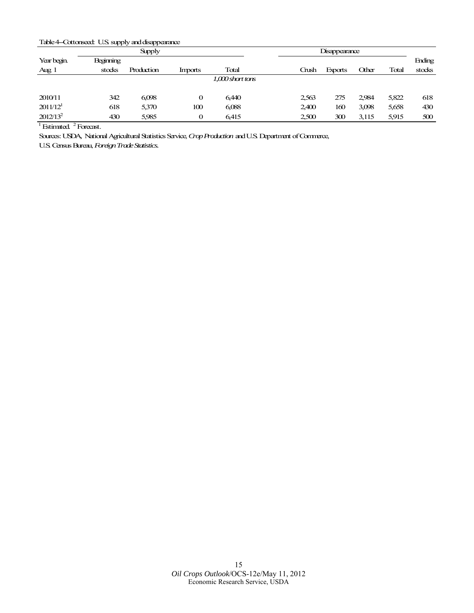<span id="page-14-0"></span>Table 4-Cottonseed: U.S. supply and disappearance

|                        |                  | <b>Supply</b> |         |                    |       | Disappearance |       |       |        |  |
|------------------------|------------------|---------------|---------|--------------------|-------|---------------|-------|-------|--------|--|
| Year begin.            | <b>Beginning</b> |               |         |                    |       |               |       |       | Ending |  |
| Aug 1                  | stocks           | Production    | Imports | Total              | Crush | Exports       | Other | Total | stocks |  |
|                        |                  |               |         | $1,000$ short tons |       |               |       |       |        |  |
|                        |                  |               |         |                    |       |               |       |       |        |  |
| 2010/11                | 342              | 6,098         | 0       | 6.440              | 2,563 | 275           | 2.984 | 5,822 | 618    |  |
| $2011/12$ <sup>1</sup> | 618              | 5,370         | 100     | 6,088              | 2,400 | 160           | 3,098 | 5,658 | 430    |  |
| $2012/13^2$            | 430              | 5,985         | 0       | 6.415              | 2,500 | 300           | 3,115 | 5,915 | 500    |  |

Sources: USDA*,* National Agricultural Statistics Service, *Crop Production* and U.S. Department of Commerce,

U.S. Census Bureau, *Foreign Trade Statistics.*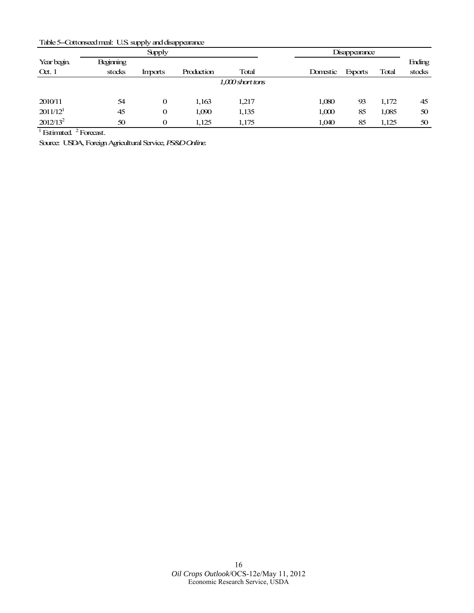<span id="page-15-0"></span>Table 5--Cottonseed meal: U.S. supply and disappearance

|                        |                  | <b>Supply</b> |            |                    | Disappearance |                |       |        |  |
|------------------------|------------------|---------------|------------|--------------------|---------------|----------------|-------|--------|--|
| Year begin.            | <b>Beginning</b> |               |            |                    |               |                |       | Ending |  |
| $\alpha$ . 1           | stocks           | Imports       | Production | Total              | Domestic      | <b>Exports</b> | Total | stocks |  |
|                        |                  |               |            | $1,000$ short tons |               |                |       |        |  |
|                        |                  |               |            |                    |               |                |       |        |  |
| 2010/11                | 54               | 0             | 1,163      | 1.217              | 1,080         | 93             | 1,172 | 45     |  |
| $2011/12$ <sup>1</sup> | 45               | 0             | 1,090      | 1,135              | 1,000         | 85             | 1,085 | 50     |  |
| $2012/13^2$            | 50               | 0             | 1,125      | 1,175              | 1,040         | 85             | 1,125 | 50     |  |

Source: USDA, Foreign Agricultural Service, *PS&D Online.*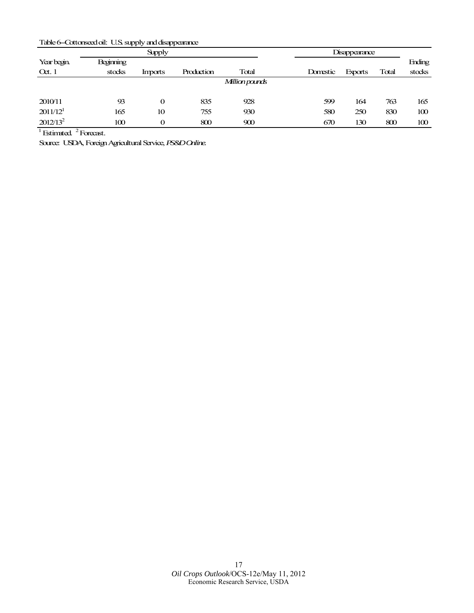<span id="page-16-0"></span>Table 6-Cottonseed oil: U.S. supply and disappearance

|                      |                  | <b>Supply</b> |            |                | Disappearance |                |       |               |
|----------------------|------------------|---------------|------------|----------------|---------------|----------------|-------|---------------|
| Year begin.          | <b>Beginning</b> |               |            |                |               |                |       | <b>Ending</b> |
| $\alpha$ . 1         | stocks           | Imports       | Production | Total          | Domestic      | <b>Exports</b> | Total | stocks        |
|                      |                  |               |            | Million pounds |               |                |       |               |
|                      |                  |               |            |                |               |                |       |               |
| 2010/11              | 93               | 0             | 835        | 928            | 599           | 164            | 763   | 165           |
| 2011/12 <sup>1</sup> | 165              | 10            | 755        | 930            | 580           | 250            | 830   | 100           |
| $2012/13^2$          | 100              | 0             | 800        | 900            | 670           | 130            | 800   | 100           |

Source: USDA, Foreign Agricultural Service, *PS&D Online.*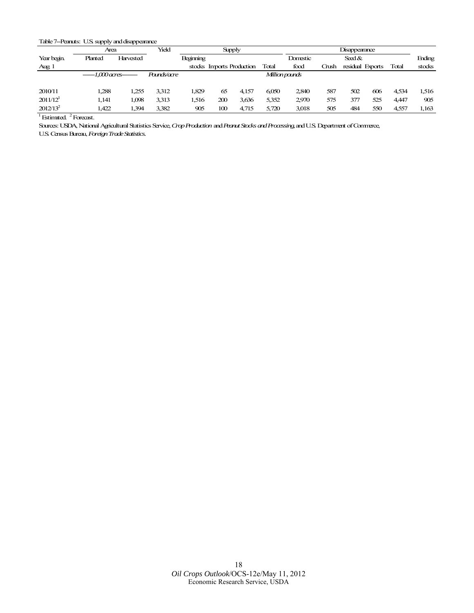#### <span id="page-17-0"></span>Table 7--Peanuts: U.S. supply and disappearance

|                        | Area                    |           | Yield              | <b>Supply</b>    |     |                           | Disappearance |                |       |           |                  |       |        |
|------------------------|-------------------------|-----------|--------------------|------------------|-----|---------------------------|---------------|----------------|-------|-----------|------------------|-------|--------|
| Year begin.            | Planted                 | Harvested |                    | <b>Beginning</b> |     |                           |               | Domestic       |       | Seed $\&$ |                  |       | Ending |
| Aug 1                  |                         |           |                    |                  |     | stocks Imports Production | Total         | food           | Crush |           | residual Exports | Total | stocks |
|                        | $---1.000$ acres------- |           | <i>Pounds/acre</i> |                  |     |                           |               | Million pounds |       |           |                  |       |        |
|                        |                         |           |                    |                  |     |                           |               |                |       |           |                  |       |        |
| 2010/11                | 1,288                   | 1.255     | 3.312              | 1.829            | 65  | 4.157                     | 6.050         | 2840           | 587   | 502       | 606              | 4.534 | 1,516  |
| $2011/12$ <sup>1</sup> | 1.141                   | 1,098     | 3.313              | .516             | 200 | 3,636                     | 5,352         | 2970           | 575   | 377       | 525              | 4.447 | 905    |
| $2012/13^2$            | .422                    | .394      | 3.382              | 905              | 100 | 4,715                     | 5.720         | 3,018          | 505   | 484       | 550              | 4,557 | 1,163  |

 $1$  Estimated.  $2$  Forecast.

Sources: USDA, National Agricultural Statistics Service, *Crop Production* and *Peanut Stocks and Processing,*and U.S. Department of Commerce,

U.S. Census Bureau, *Foreign Trade Statistics.*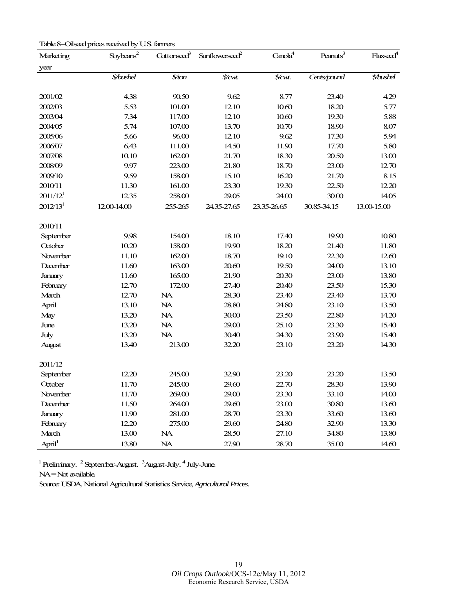| Marketing            | Soybeans <sup>2</sup>         | Cottonseed <sup>3</sup> | Sunflowerseed <sup>2</sup> | Canola <sup>4</sup> | Peanuts <sup>3</sup> | Flaxseed <sup>4</sup> |
|----------------------|-------------------------------|-------------------------|----------------------------|---------------------|----------------------|-----------------------|
| year                 |                               |                         |                            |                     |                      |                       |
|                      | <b><i><u>\$bushel</u></i></b> | \$⁄ton                  | $\mathcal{S}$ cwt.         | \$⁄cut.             | Cents/pound          | \$/bushet             |
|                      |                               |                         |                            |                     |                      |                       |
| 2001/02              | 4.38                          | 90.50                   | 9.62                       | 8.77                | 23.40                | 4.29                  |
| 2002/03              | 5.53                          | 101.00                  | 12.10                      | 10.60               | 18.20                | 5.77                  |
| 2003/04              | 7.34                          | 117.00                  | 12.10                      | 10.60               | 19.30                | 5.88                  |
| 2004/05              | 5.74                          | 107.00                  | 13.70                      | 10.70               | 18.90                | 8.07                  |
| 2005/06              | 5.66                          | 96.00                   | 12.10                      | 9.62                | 17.30                | 5.94                  |
| 2006/07              | 6.43                          | 111.00                  | 14.50                      | 11.90               | 17.70                | 5.80                  |
| 2007/08              | 10.10                         | 162.00                  | 21.70                      | 18.30               | 20.50                | 13.00                 |
| 2008/09              | 9.97                          | 223.00                  | 21.80                      | 18.70               | 23.00                | 12.70                 |
| 2009/10              | 9.59                          | 158.00                  | 15.10                      | 16.20               | 21.70                | 8.15                  |
| 2010/11              | 11.30                         | 161.00                  | 23.30                      | 19.30               | 22.50                | 12.20                 |
| 2011/12 <sup>1</sup> | 12.35                         | 258.00                  | 29.05                      | 24.00               | 30.00                | 14.05                 |
| 2012/13 <sup>1</sup> | 12.00-14.00                   | 255-265                 | 24.35-27.65                | 23.35-26.65         | 30.85-34.15          | 13.00-15.00           |
| 2010/11              |                               |                         |                            |                     |                      |                       |
| Septenber            | 9.98                          | 154.00                  | 18.10                      | 17.40               | 19.90                | 10.80                 |
| October              | 10.20                         | 158.00                  | 19.90                      | 18.20               | 21.40                | 11.80                 |
| November             | 11.10                         | 162.00                  | 18.70                      | 19.10               | 22.30                | 12.60                 |
| December             | 11.60                         | 163.00                  | 20.60                      | 19.50               | 24.00                | 13.10                 |
| January              | 11.60                         | 165.00                  | 21.90                      | 20.30               | 23.00                | 13.80                 |
| February             | 12.70                         | 172.00                  | 27.40                      | 20.40               | 23.50                | 15.30                 |
| March                | 12.70                         | NA                      | 28.30                      | 23.40               | 23.40                | 13.70                 |
| April                | 13.10                         | NA                      | 28.80                      | 24.80               | 23.10                | 13.50                 |
| May                  | 13.20                         | <b>NA</b>               | 30.00                      | 23.50               | 22.80                | 14.20                 |
| June                 | 13.20                         | NA                      | 29.00                      | 25.10               | 23.30                | 15.40                 |
| July                 | 13.20                         | NA                      | 30.40                      | 24.30               | 23.90                | 15.40                 |
| August               | 13.40                         | 213.00                  | 32.20                      | 23.10               | 23.20                | 14.30                 |
| 2011/12              |                               |                         |                            |                     |                      |                       |
| Septenber            | 12.20                         | 245.00                  | 32.90                      | 23.20               | 23.20                | 13.50                 |
| October              | 11.70                         | 245.00                  | 29.60                      | 22.70               | 28.30                | 13.90                 |
| November             | 11.70                         | 269.00                  | 29.00                      | 23.30               | 33.10                | 14.00                 |
| December             | 11.50                         | 264.00                  | 29.60                      | 23.00               | 30.80                | 13.60                 |
| January              | 11.90                         | 281.00                  | 28.70                      | 23.30               | 33.60                | 13.60                 |
| February             | 12.20                         | 275.00                  | 29.60                      | 24.80               | 32.90                | 13.30                 |
| March                | 13.00                         | <b>NA</b>               | 28.50                      | 27.10               | 34.80                | 13.80                 |
| April <sup>1</sup>   | 13.80                         | NA                      | 27.90                      | 28.70               | 35.00                | 14.60                 |
|                      |                               |                         |                            |                     |                      |                       |

<span id="page-18-0"></span>Table 8--Oilseed prices received by U.S. farmers

 $1$  Preliminary.  $2$  September-August.  $3$ August-July.  $4$  July-June.

NA=Not available.

Source: USDA, National Agricultural Statistics Service, *Agricultural Prices.*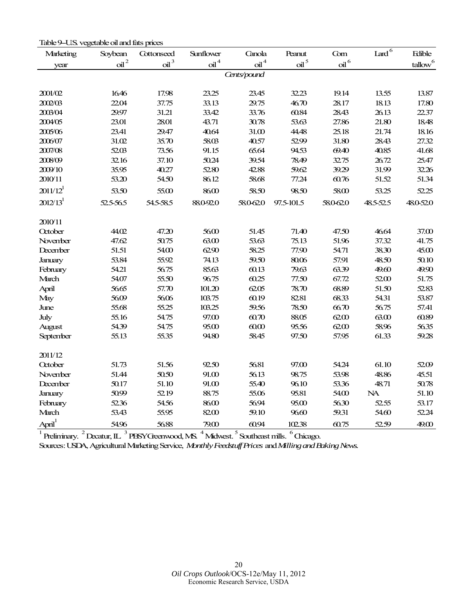<span id="page-19-0"></span>

| Table 9–U.S. vegetable oil and fats prices |
|--------------------------------------------|
|--------------------------------------------|

| Marketing                   | Soybean          | Cottonseed            | Sunflower            | Canola           | Peanut           | Com       | Lard $\bar{6}$ | Edible                 |
|-----------------------------|------------------|-----------------------|----------------------|------------------|------------------|-----------|----------------|------------------------|
| year                        | $\mathsf{oil}^2$ | $\delta$ <sup>3</sup> | $\mathrm{oil}^{\,4}$ | $\mathsf{oil}^4$ | $\mathrm{oil}^5$ | $\delta$  |                | $t$ allow <sup>6</sup> |
|                             |                  |                       |                      | Cents/pound      |                  |           |                |                        |
|                             |                  |                       |                      |                  |                  |           |                |                        |
| 2001/02                     | 16.46            | 17.98                 | 23.25                | 23.45            | 32.23            | 19.14     | 13.55          | 13.87                  |
| 2002/03                     | 22.04            | 37.75                 | 33.13                | 29.75            | 46.70            | 28.17     | 18.13          | 17.80                  |
| 2003/04                     | 29.97            | 31.21                 | 33.42                | 33.76            | 60.84            | 28.43     | 26.13          | 22.37                  |
| 2004/05                     | 23.01            | 28.01                 | 43.71                | 30.78            | 53.63            | 27.86     | 21.80          | 18.48                  |
| 2005/06                     | 23.41            | 29.47                 | 40.64                | 31.00            | 44.48            | 25.18     | 21.74          | 18.16                  |
| 2006/07                     | 31.02            | 35.70                 | 58.03                | 40.57            | 5299             | 31.80     | 28.43          | 27.32                  |
| 2007/08                     | 52.03            | 73.56                 | 91.15                | 65.64            | 94.53            | 69.40     | 40.85          | 41.68                  |
| 2008/09                     | 32.16            | 37.10                 | 50.24                | 39.54            | 78.49            | 32.75     | 26.72          | 25.47                  |
| 2009/10                     | 35.95            | 40.27                 | 52.80                | 42.88            | 59.62            | 39.29     | 31.99          | 32.26                  |
| 2010/11                     | 53.20            | 54.50                 | 86.12                | 58.68            | 77.24            | 60.76     | 51.52          | 51.34                  |
| $2011/12^1$                 | 53.50            | 55.00                 | 86.00                | 58.50            | 98.50            | 58.00     | 53.25          | 52.25                  |
| 2012/13 <sup>1</sup>        | 52.5-56.5        | 54.5-58.5             | 880-920              | 58.062.0         | 97.5-101.5       | 58.0-62.0 | 48.5-52.5      | 48.0-52.0              |
|                             |                  |                       |                      |                  |                  |           |                |                        |
| 2010/11                     |                  |                       |                      |                  |                  |           |                |                        |
| October                     | 44.02            | 47.20                 | 56.00                | 51.45            | 71.40            | 47.50     | 46.64          | 37.00                  |
| November                    | 47.62            | 50.75                 | 63.00                | 53.63            | 75.13            | 51.96     | 37.32          | 41.75                  |
| December                    | 51.51            | 54.00                 | 62.90                | 58.25            | 77.90            | 54.71     | 38.30          | 45.00                  |
| <b>January</b>              | 53.84            | 55.92                 | 74.13                | 59.50            | 80.06            | 57.91     | 48.50          | 50.10                  |
| February                    | 54.21            | 56.75                 | 85.63                | 60.13            | 79.63            | 63.39     | 49.60          | 49.90                  |
| March                       | 54.07            | 55.50                 | 96.75                | 60.25            | 77.50            | 67.72     | 52.00          | 51.75                  |
| April                       | 56.65            | 57.70                 | 101.20               | 62.05            | 78.70            | 68.89     | 51.50          | 52.83                  |
| May                         | 56.09            | 5606                  | 103.75               | 60.19            | 82.81            | 68.33     | 54.31          | 53.87                  |
| June                        | 55.68            | 55.25                 | 103.25               | 59.56            | 78.50            | 66.70     | 56.75          | 57.41                  |
| July                        | 55.16            | 54.75                 | 97.00                | 60.70            | 88.05            | 62.00     | 63.00          | 60.89                  |
| August                      | 54.39            | 54.75                 | 95.00                | 6000             | 95.56            | 62.00     | 58.96          | 56.35                  |
| September                   | 55.13            | 55.35                 | 94.80                | 58.45            | 97.50            | 57.95     | 61.33          | 59.28                  |
| 2011/12                     |                  |                       |                      |                  |                  |           |                |                        |
| October                     | 51.73            | 51.56                 | 92.50                | 56.81            | 97.00            | 54.24     | 61.10          | 5209                   |
| November                    | 51.44            | 50.50                 | 91.00                | 56.13            | 98.75            | 53.98     | 48.86          | 45.51                  |
| December                    | 50.17            | 51.10                 | 91.00                | 55.40            | 96.10            | 53.36     | 48.71          | 50.78                  |
| January                     | 50.99            | 52.19                 | 88.75                | 55.06            | 95.81            | 54.00     | <b>NA</b>      | 51.10                  |
| February                    | 52.36            | 54.56                 | 86.00                | 56.94            | 95.00            | 56.30     | 52.55          | 53.17                  |
| March                       | 53.43            | 55.95                 | 82.00                | 59.10            | 9660             | 59.31     | 54.60          | 52.24                  |
| $\Delta p$ ril <sup>1</sup> | 54.96            | 56.88                 | 79.00                | 60.94            | 102.38           | 60.75     | 52.59          | 49.00                  |

 $1$  Preliminary.  $2$  Decatur, IL.  $3$  PBSY Greenwood, MS.  $4$  Midwest.  $5$  Southeast mills.  $6$  Chicago.

Sources: USDA, Agricultural Marketing Service, *Monthly Feedstuff Prices* and *Milling and Baking News.*